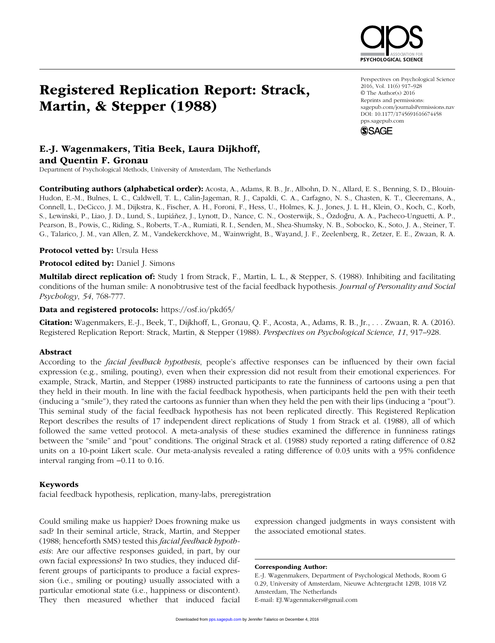# Registered Replication Report: Strack, Martin, & Stepper (1988)

Perspectives on Psychological Science 2016, Vol. 11(6) 917–928 © The Author(s) 2016 Reprints and permissions: sagepub.com/journalsPermissions.nav DOI: 10.1177/1745691616674458 pps.sagepub.com

**SYCHOLOGICAL SCIENCI** 



## E.-J. Wagenmakers, Titia Beek, Laura Dijkhoff, and Quentin F. Gronau

Department of Psychological Methods, University of Amsterdam, The Netherlands

Contributing authors (alphabetical order): Acosta, A., Adams, R. B., Jr., Albohn, D. N., Allard, E. S., Benning, S. D., Blouin-Hudon, E.-M., Bulnes, L. C., Caldwell, T. L., Calin-Jageman, R. J., Capaldi, C. A., Carfagno, N. S., Chasten, K. T., Cleeremans, A., Connell, L., DeCicco, J. M., Dijkstra, K., Fischer, A. H., Foroni, F., Hess, U., Holmes, K. J., Jones, J. L. H., Klein, O., Koch, C., Korb, S., Lewinski, P., Liao, J. D., Lund, S., Lupiáñez, J., Lynott, D., Nance, C. N., Oosterwijk, S., Özdoğru, A. A., Pacheco-Unguetti, A. P., Pearson, B., Powis, C., Riding, S., Roberts, T.-A., Rumiati, R. I., Senden, M., Shea-Shumsky, N. B., Sobocko, K., Soto, J. A., Steiner, T. G., Talarico, J. M., van Allen, Z. M., Vandekerckhove, M., Wainwright, B., Wayand, J. F., Zeelenberg, R., Zetzer, E. E., Zwaan, R. A.

Protocol vetted by: Ursula Hess

Protocol edited by: Daniel J. Simons

Multilab direct replication of: Study 1 from Strack, F., Martin, L. L., & Stepper, S. (1988). Inhibiting and facilitating conditions of the human smile: A nonobtrusive test of the facial feedback hypothesis. *Journal of Personality and Social Psychology*, *54*, 768-777.

Data and registered protocols: https://osf.io/pkd65/

Citation: Wagenmakers, E.-J., Beek, T., Dijkhoff, L., Gronau, Q. F., Acosta, A., Adams, R. B., Jr., . . . Zwaan, R. A. (2016). Registered Replication Report: Strack, Martin, & Stepper (1988). *Perspectives on Psychological Science*, *11*, 917–928.

## Abstract

According to the *facial feedback hypothesis*, people's affective responses can be influenced by their own facial expression (e.g., smiling, pouting), even when their expression did not result from their emotional experiences. For example, Strack, Martin, and Stepper (1988) instructed participants to rate the funniness of cartoons using a pen that they held in their mouth. In line with the facial feedback hypothesis, when participants held the pen with their teeth (inducing a "smile"), they rated the cartoons as funnier than when they held the pen with their lips (inducing a "pout"). This seminal study of the facial feedback hypothesis has not been replicated directly. This Registered Replication Report describes the results of 17 independent direct replications of Study 1 from Strack et al. (1988), all of which followed the same vetted protocol. A meta-analysis of these studies examined the difference in funniness ratings between the "smile" and "pout" conditions. The original Strack et al. (1988) study reported a rating difference of 0.82 units on a 10-point Likert scale. Our meta-analysis revealed a rating difference of 0.03 units with a 95% confidence interval ranging from −0.11 to 0.16.

#### Keywords

facial feedback hypothesis, replication, many-labs, preregistration

Could smiling make us happier? Does frowning make us sad? In their seminal article, Strack, Martin, and Stepper (1988; henceforth SMS) tested this *facial feedback hypothesis*: Are our affective responses guided, in part, by our own facial expressions? In two studies, they induced different groups of participants to produce a facial expression (i.e., smiling or pouting) usually associated with a particular emotional state (i.e., happiness or discontent). They then measured whether that induced facial expression changed judgments in ways consistent with the associated emotional states.

Corresponding Author:

E.-J. Wagenmakers, Department of Psychological Methods, Room G 0.29, University of Amsterdam, Nieuwe Achtergracht 129B, 1018 VZ Amsterdam, The Netherlands E-mail: EJ.Wagenmakers@gmail.com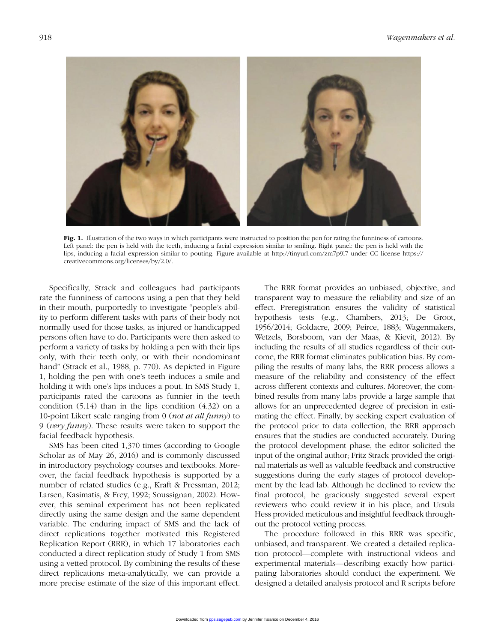

Fig. 1. Illustration of the two ways in which participants were instructed to position the pen for rating the funniness of cartoons. Left panel: the pen is held with the teeth, inducing a facial expression similar to smiling. Right panel: the pen is held with the lips, inducing a facial expression similar to pouting. Figure available at http://tinyurl.com/zm7p9l7 under CC license https:// creativecommons.org/licenses/by/2.0/.

Specifically, Strack and colleagues had participants rate the funniness of cartoons using a pen that they held in their mouth, purportedly to investigate "people's ability to perform different tasks with parts of their body not normally used for those tasks, as injured or handicapped persons often have to do. Participants were then asked to perform a variety of tasks by holding a pen with their lips only, with their teeth only, or with their nondominant hand" (Strack et al., 1988, p. 770). As depicted in Figure 1, holding the pen with one's teeth induces a smile and holding it with one's lips induces a pout. In SMS Study 1, participants rated the cartoons as funnier in the teeth condition (5.14) than in the lips condition (4.32) on a 10-point Likert scale ranging from 0 (*not at all funny*) to 9 (*very funny*). These results were taken to support the facial feedback hypothesis.

SMS has been cited 1,370 times (according to Google Scholar as of May 26, 2016) and is commonly discussed in introductory psychology courses and textbooks. Moreover, the facial feedback hypothesis is supported by a number of related studies (e.g., Kraft & Pressman, 2012; Larsen, Kasimatis, & Frey, 1992; Soussignan, 2002). However, this seminal experiment has not been replicated directly using the same design and the same dependent variable. The enduring impact of SMS and the lack of direct replications together motivated this Registered Replication Report (RRR), in which 17 laboratories each conducted a direct replication study of Study 1 from SMS using a vetted protocol. By combining the results of these direct replications meta-analytically, we can provide a more precise estimate of the size of this important effect.

The RRR format provides an unbiased, objective, and transparent way to measure the reliability and size of an effect. Preregistration ensures the validity of statistical hypothesis tests (e.g., Chambers, 2013; De Groot, 1956/2014; Goldacre, 2009; Peirce, 1883; Wagenmakers, Wetzels, Borsboom, van der Maas, & Kievit, 2012). By including the results of all studies regardless of their outcome, the RRR format eliminates publication bias. By compiling the results of many labs, the RRR process allows a measure of the reliability and consistency of the effect across different contexts and cultures. Moreover, the combined results from many labs provide a large sample that allows for an unprecedented degree of precision in estimating the effect. Finally, by seeking expert evaluation of the protocol prior to data collection, the RRR approach ensures that the studies are conducted accurately. During the protocol development phase, the editor solicited the input of the original author; Fritz Strack provided the original materials as well as valuable feedback and constructive suggestions during the early stages of protocol development by the lead lab. Although he declined to review the final protocol, he graciously suggested several expert reviewers who could review it in his place, and Ursula Hess provided meticulous and insightful feedback throughout the protocol vetting process.

The procedure followed in this RRR was specific, unbiased, and transparent. We created a detailed replication protocol—complete with instructional videos and experimental materials—describing exactly how participating laboratories should conduct the experiment. We designed a detailed analysis protocol and R scripts before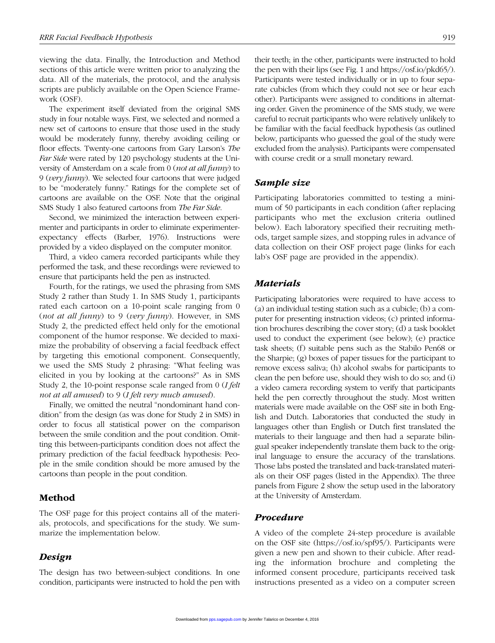viewing the data. Finally, the Introduction and Method sections of this article were written prior to analyzing the data. All of the materials, the protocol, and the analysis scripts are publicly available on the Open Science Framework (OSF).

The experiment itself deviated from the original SMS study in four notable ways. First, we selected and normed a new set of cartoons to ensure that those used in the study would be moderately funny, thereby avoiding ceiling or floor effects. Twenty-one cartoons from Gary Larson's *The Far Side* were rated by 120 psychology students at the University of Amsterdam on a scale from 0 (*not at all funny*) to 9 (*very funny*). We selected four cartoons that were judged to be "moderately funny." Ratings for the complete set of cartoons are available on the OSF. Note that the original SMS Study 1 also featured cartoons from *The Far Side*.

Second, we minimized the interaction between experimenter and participants in order to eliminate experimenterexpectancy effects (Barber, 1976). Instructions were provided by a video displayed on the computer monitor.

Third, a video camera recorded participants while they performed the task, and these recordings were reviewed to ensure that participants held the pen as instructed.

Fourth, for the ratings, we used the phrasing from SMS Study 2 rather than Study 1. In SMS Study 1, participants rated each cartoon on a 10-point scale ranging from 0 (*not at all funny*) to 9 (*very funny*). However, in SMS Study 2, the predicted effect held only for the emotional component of the humor response. We decided to maximize the probability of observing a facial feedback effect by targeting this emotional component. Consequently, we used the SMS Study 2 phrasing: "What feeling was elicited in you by looking at the cartoons?" As in SMS Study 2, the 10-point response scale ranged from 0 (*I felt not at all amused*) to 9 (*I felt very much amused*).

Finally, we omitted the neutral "nondominant hand condition" from the design (as was done for Study 2 in SMS) in order to focus all statistical power on the comparison between the smile condition and the pout condition. Omitting this between-participants condition does not affect the primary prediction of the facial feedback hypothesis: People in the smile condition should be more amused by the cartoons than people in the pout condition.

## Method

The OSF page for this project contains all of the materials, protocols, and specifications for the study. We summarize the implementation below.

## *Design*

The design has two between-subject conditions. In one condition, participants were instructed to hold the pen with their teeth; in the other, participants were instructed to hold the pen with their lips (see Fig. 1 and https://osf.io/pkd65/). Participants were tested individually or in up to four separate cubicles (from which they could not see or hear each other). Participants were assigned to conditions in alternating order. Given the prominence of the SMS study, we were careful to recruit participants who were relatively unlikely to be familiar with the facial feedback hypothesis (as outlined below, participants who guessed the goal of the study were excluded from the analysis). Participants were compensated with course credit or a small monetary reward.

## *Sample size*

Participating laboratories committed to testing a minimum of 50 participants in each condition (after replacing participants who met the exclusion criteria outlined below). Each laboratory specified their recruiting methods, target sample sizes, and stopping rules in advance of data collection on their OSF project page (links for each lab's OSF page are provided in the appendix).

## *Materials*

Participating laboratories were required to have access to (a) an individual testing station such as a cubicle; (b) a computer for presenting instruction videos; (c) printed information brochures describing the cover story; (d) a task booklet used to conduct the experiment (see below); (e) practice task sheets; (f) suitable pens such as the Stabilo Pen68 or the Sharpie; (g) boxes of paper tissues for the participant to remove excess saliva; (h) alcohol swabs for participants to clean the pen before use, should they wish to do so; and (i) a video camera recording system to verify that participants held the pen correctly throughout the study. Most written materials were made available on the OSF site in both English and Dutch. Laboratories that conducted the study in languages other than English or Dutch first translated the materials to their language and then had a separate bilingual speaker independently translate them back to the original language to ensure the accuracy of the translations. Those labs posted the translated and back-translated materials on their OSF pages (listed in the Appendix). The three panels from Figure 2 show the setup used in the laboratory at the University of Amsterdam.

## *Procedure*

A video of the complete 24-step procedure is available on the OSF site (https://osf.io/spf95/). Participants were given a new pen and shown to their cubicle. After reading the information brochure and completing the informed consent procedure, participants received task instructions presented as a video on a computer screen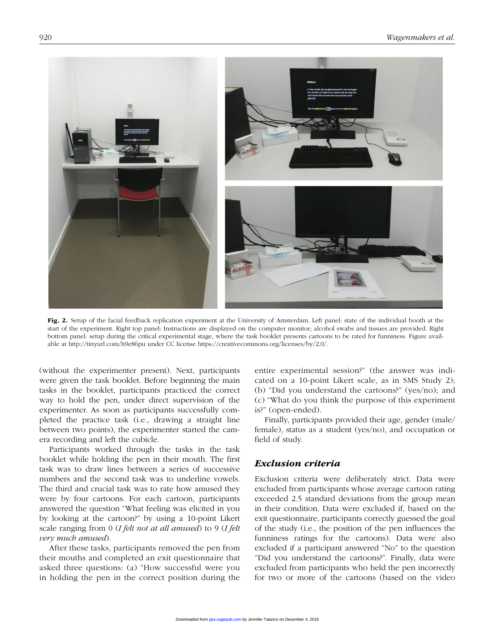

Fig. 2. Setup of the facial feedback replication experiment at the University of Amsterdam. Left panel: state of the individual booth at the start of the experiment. Right top panel: Instructions are displayed on the computer monitor; alcohol swabs and tissues are provided. Right bottom panel: setup during the critical experimental stage, where the task booklet presents cartoons to be rated for funniness. Figure available at http://tinyurl.com/h9e86pu under CC license https://creativecommons.org/licenses/by/2.0/.

(without the experimenter present). Next, participants were given the task booklet. Before beginning the main tasks in the booklet, participants practiced the correct way to hold the pen, under direct supervision of the experimenter. As soon as participants successfully completed the practice task (i.e., drawing a straight line between two points), the experimenter started the camera recording and left the cubicle.

Participants worked through the tasks in the task booklet while holding the pen in their mouth. The first task was to draw lines between a series of successive numbers and the second task was to underline vowels. The third and crucial task was to rate how amused they were by four cartoons. For each cartoon, participants answered the question "What feeling was elicited in you by looking at the cartoon?" by using a 10-point Likert scale ranging from 0 (*I felt not at all amused*) to 9 (*I felt very much amused*).

After these tasks, participants removed the pen from their mouths and completed an exit questionnaire that asked three questions: (a) "How successful were you in holding the pen in the correct position during the entire experimental session?" (the answer was indicated on a 10-point Likert scale, as in SMS Study 2); (b) "Did you understand the cartoons?" (yes/no); and (c) "What do you think the purpose of this experiment is?" (open-ended).

Finally, participants provided their age, gender (male/ female), status as a student (yes/no), and occupation or field of study.

## *Exclusion criteria*

Exclusion criteria were deliberately strict. Data were excluded from participants whose average cartoon rating exceeded 2.5 standard deviations from the group mean in their condition. Data were excluded if, based on the exit questionnaire, participants correctly guessed the goal of the study (i.e., the position of the pen influences the funniness ratings for the cartoons). Data were also excluded if a participant answered "No" to the question "Did you understand the cartoons?". Finally, data were excluded from participants who held the pen incorrectly for two or more of the cartoons (based on the video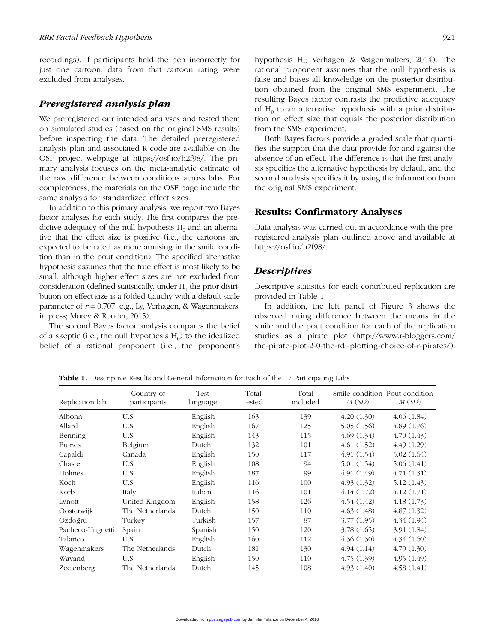recordings). If participants held the pen incorrectly for just one cartoon, data from that cartoon rating were excluded from analyses.

### *Preregistered analysis plan*

We preregistered our intended analyses and tested them on simulated studies (based on the original SMS results) before inspecting the data. The detailed preregistered analysis plan and associated R code are available on the OSF project webpage at https://osf.io/h2f98/. The primary analysis focuses on the meta-analytic estimate of the raw difference between conditions across labs. For completeness, the materials on the OSF page include the same analysis for standardized effect sizes.

In addition to this primary analysis, we report two Bayes factor analyses for each study. The first compares the predictive adequacy of the null hypothesis  $H_0$  and an alternative that the effect size is positive (i.e., the cartoons are expected to be rated as more amusing in the smile condition than in the pout condition). The specified alternative hypothesis assumes that the true effect is most likely to be small, although higher effect sizes are not excluded from consideration (defined statistically, under  $H_1$  the prior distribution on effect size is a folded Cauchy with a default scale parameter of  $r = 0.707$ ; e.g., Ly, Verhagen, & Wagenmakers, in press; Morey & Rouder, 2015).

The second Bayes factor analysis compares the belief of a skeptic (i.e., the null hypothesis  $H_0$ ) to the idealized belief of a rational proponent (i.e., the proponent's

hypothesis H<sub>r</sub>; Verhagen & Wagenmakers, 2014). The rational proponent assumes that the null hypothesis is false and bases all knowledge on the posterior distribution obtained from the original SMS experiment. The resulting Bayes factor contrasts the predictive adequacy of  $H_0$  to an alternative hypothesis with a prior distribution on effect size that equals the posterior distribution from the SMS experiment.

Both Bayes factors provide a graded scale that quantifies the support that the data provide for and against the absence of an effect. The difference is that the first analysis specifies the alternative hypothesis by default, and the second analysis specifies it by using the information from the original SMS experiment.

## Results: Confirmatory Analyses

Data analysis was carried out in accordance with the preregistered analysis plan outlined above and available at https://osf.io/h2f98/.

## *Descriptives*

Descriptive statistics for each contributed replication are provided in Table 1.

In addition, the left panel of Figure 3 shows the observed rating difference between the means in the smile and the pout condition for each of the replication studies as a pirate plot (http://www.r-bloggers.com/ the-pirate-plot-2-0-the-rdi-plotting-choice-of-r-pirates/).

Replication lab Country of participants Test language Total tested Total included Smile condition Pout condition *M* (*SD*) *M* (*SD*) Albohn U.S. English 163 139 4.20 (1.30) 4.06 (1.84) Allard U.S. English 167 125 5.05 (1.56) 4.89 (1.76) Benning U.S. English  $143$  115  $4.69$  (1.34)  $4.70$  (1.43) Bulnes Belgium Dutch 132 101 4.61 (1.52) 4.49 (1.29) Capaldi Canada English 150 117 4.91 (1.54) 5.02 (1.64) Chasten U.S. English 108 94 5.01 (1.54) 5.06 (1.41) Holmes U.S. English 187 99 4.91 (1.49) 4.71 (1.31) Koch U.S. English 116 100 4.93 (1.32) 5.12 (1.43) Korb Italy Italian 116 101 4.14 (1.72) 4.12 (1.71) Lynott United Kingdom English 158 126 4.54 (1.42) 4.18 (1.73) Oosterwijk The Netherlands Dutch 150 110 4.63 (1.48) 4.87 (1.32) Özdoğru Turkey Turkish 157 87 3.77 (1.95) 4.34 (1.94) Pacheco-Unguetti Spain Spanish 150 120 3.78 (1.65) 3.91 (1.84) Talarico U.S. English 160 112 4.36 (1.30) 4.34 (1.60) Wagenmakers The Netherlands Dutch 181 130 4.94 (1.14) 4.79 (1.30) Wayand U.S. English 150 110 4.75 (1.39) 4.95 (1.49) Zeelenberg The Netherlands Dutch 145 108 4.93 (1.40) 4.58 (1.41)

Table 1. Descriptive Results and General Information for Each of the 17 Participating Labs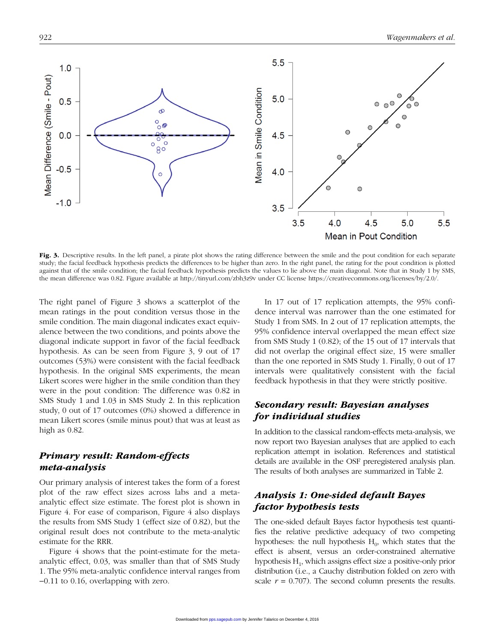

Fig. 3. Descriptive results. In the left panel, a pirate plot shows the rating difference between the smile and the pout condition for each separate study; the facial feedback hypothesis predicts the differences to be higher than zero. In the right panel, the rating for the pout condition is plotted against that of the smile condition; the facial feedback hypothesis predicts the values to lie above the main diagonal. Note that in Study 1 by SMS, the mean difference was 0.82. Figure available at http://tinyurl.com/zbh3z9v under CC license https://creativecommons.org/licenses/by/2.0/.

The right panel of Figure 3 shows a scatterplot of the mean ratings in the pout condition versus those in the smile condition. The main diagonal indicates exact equivalence between the two conditions, and points above the diagonal indicate support in favor of the facial feedback hypothesis. As can be seen from Figure 3, 9 out of 17 outcomes (53%) were consistent with the facial feedback hypothesis. In the original SMS experiments, the mean Likert scores were higher in the smile condition than they were in the pout condition: The difference was 0.82 in SMS Study 1 and 1.03 in SMS Study 2. In this replication study, 0 out of 17 outcomes (0%) showed a difference in mean Likert scores (smile minus pout) that was at least as high as 0.82.

## *Primary result: Random-effects meta-analysis*

Our primary analysis of interest takes the form of a forest plot of the raw effect sizes across labs and a metaanalytic effect size estimate. The forest plot is shown in Figure 4. For ease of comparison, Figure 4 also displays the results from SMS Study 1 (effect size of 0.82), but the original result does not contribute to the meta-analytic estimate for the RRR.

Figure 4 shows that the point-estimate for the metaanalytic effect, 0.03, was smaller than that of SMS Study 1. The 95% meta-analytic confidence interval ranges from −0.11 to 0.16, overlapping with zero.

In 17 out of 17 replication attempts, the 95% confidence interval was narrower than the one estimated for Study 1 from SMS. In 2 out of 17 replication attempts, the 95% confidence interval overlapped the mean effect size from SMS Study 1 (0.82); of the 15 out of 17 intervals that did not overlap the original effect size, 15 were smaller than the one reported in SMS Study 1. Finally, 0 out of 17 intervals were qualitatively consistent with the facial feedback hypothesis in that they were strictly positive.

## *Secondary result: Bayesian analyses for individual studies*

In addition to the classical random-effects meta-analysis, we now report two Bayesian analyses that are applied to each replication attempt in isolation. References and statistical details are available in the OSF preregistered analysis plan. The results of both analyses are summarized in Table 2.

## *Analysis 1: One-sided default Bayes factor hypothesis tests*

The one-sided default Bayes factor hypothesis test quantifies the relative predictive adequacy of two competing hypotheses: the null hypothesis  $H_0$ , which states that the effect is absent, versus an order-constrained alternative hypothesis  $H_1$ , which assigns effect size a positive-only prior distribution (i.e., a Cauchy distribution folded on zero with scale  $r = 0.707$ ). The second column presents the results.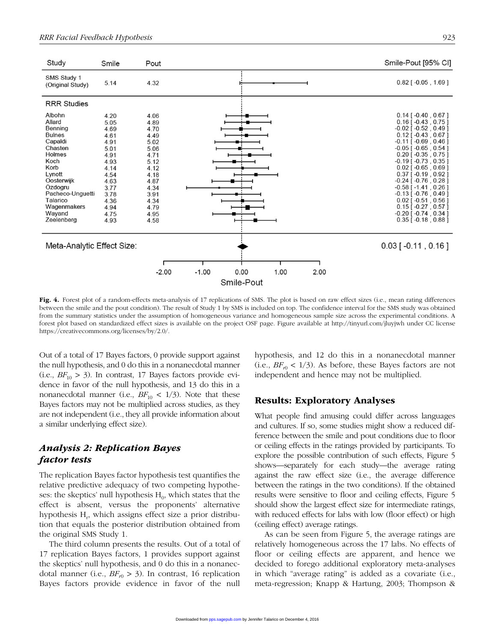

Fig. 4. Forest plot of a random-effects meta-analysis of 17 replications of SMS. The plot is based on raw effect sizes (i.e., mean rating differences between the smile and the pout condition). The result of Study 1 by SMS is included on top. The confidence interval for the SMS study was obtained from the summary statistics under the assumption of homogeneous variance and homogeneous sample size across the experimental conditions. A forest plot based on standardized effect sizes is available on the project OSF page. Figure available at http://tinyurl.com/jluyjwh under CC license https://creativecommons.org/licenses/by/2.0/.

Out of a total of 17 Bayes factors, 0 provide support against the null hypothesis, and 0 do this in a nonanecdotal manner  $(i.e., BF_{10} > 3)$ . In contrast, 17 Bayes factors provide evidence in favor of the null hypothesis, and 13 do this in a nonanecdotal manner (i.e.,  $BF_{10}$  < 1/3). Note that these Bayes factors may not be multiplied across studies, as they are not independent (i.e., they all provide information about a similar underlying effect size).

## *Analysis 2: Replication Bayes factor tests*

The replication Bayes factor hypothesis test quantifies the relative predictive adequacy of two competing hypotheses: the skeptics' null hypothesis  $H_0$ , which states that the effect is absent, versus the proponents' alternative hypothesis H<sub>r</sub>, which assigns effect size a prior distribution that equals the posterior distribution obtained from the original SMS Study 1.

The third column presents the results. Out of a total of 17 replication Bayes factors, 1 provides support against the skeptics' null hypothesis, and 0 do this in a nonanecdotal manner (i.e.,  $BF_{r0} > 3$ ). In contrast, 16 replication Bayes factors provide evidence in favor of the null hypothesis, and 12 do this in a nonanecdotal manner  $(i.e., BF_{r0} < 1/3)$ . As before, these Bayes factors are not independent and hence may not be multiplied.

## Results: Exploratory Analyses

What people find amusing could differ across languages and cultures. If so, some studies might show a reduced difference between the smile and pout conditions due to floor or ceiling effects in the ratings provided by participants. To explore the possible contribution of such effects, Figure 5 shows—separately for each study—the average rating against the raw effect size (i.e., the average difference between the ratings in the two conditions). If the obtained results were sensitive to floor and ceiling effects, Figure 5 should show the largest effect size for intermediate ratings, with reduced effects for labs with low (floor effect) or high (ceiling effect) average ratings.

As can be seen from Figure 5, the average ratings are relatively homogeneous across the 17 labs. No effects of floor or ceiling effects are apparent, and hence we decided to forego additional exploratory meta-analyses in which "average rating" is added as a covariate (i.e., meta-regression; Knapp & Hartung, 2003; Thompson &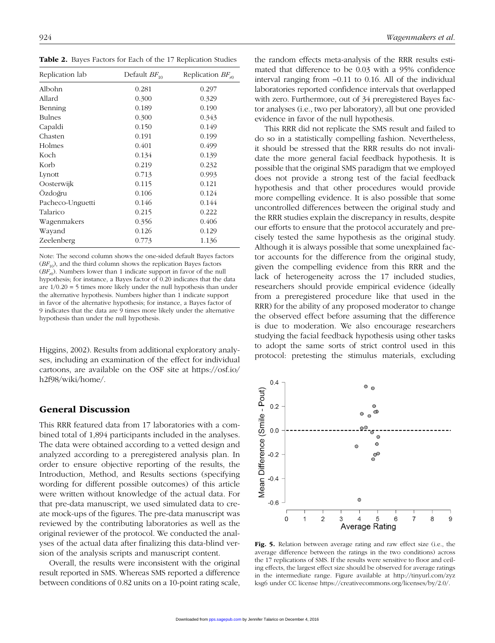Table 2. Bayes Factors for Each of the 17 Replication Studies

| Replication lab  | Default $BF_{10}$ | Replication $BF_{n0}$ |
|------------------|-------------------|-----------------------|
| Albohn           | 0.281             | 0.297                 |
| Allard           | 0.300             | 0.329                 |
| Benning          | 0.189             | 0.190                 |
| <b>Bulnes</b>    | 0.300             | 0.343                 |
| Capaldi          | 0.150             | 0.149                 |
| Chasten          | 0.191             | 0.199                 |
| Holmes           | 0.401             | 0.499                 |
| Koch             | 0.134             | 0.139                 |
| Korb             | 0.219             | 0.232                 |
| Lynott           | 0.713             | 0.993                 |
| Oosterwijk       | 0.115             | 0.121                 |
| Ozdoğru          | 0.106             | 0.124                 |
| Pacheco-Unguetti | 0.146             | 0.144                 |
| Talarico         | 0.215             | 0.222                 |
| Wagenmakers      | 0.356             | 0.406                 |
| Wayand           | 0.126             | 0.129                 |
| Zeelenberg       | 0.773             | 1.136                 |

Note: The second column shows the one-sided default Bayes factors  $(BF_{10})$ , and the third column shows the replication Bayes factors  $(BF_{r0})$ . Numbers lower than 1 indicate support in favor of the null hypothesis; for instance, a Bayes factor of 0.20 indicates that the data are  $1/0.20 = 5$  times more likely under the null hypothesis than under the alternative hypothesis. Numbers higher than 1 indicate support in favor of the alternative hypothesis; for instance, a Bayes factor of 9 indicates that the data are 9 times more likely under the alternative hypothesis than under the null hypothesis.

Higgins, 2002). Results from additional exploratory analyses, including an examination of the effect for individual cartoons, are available on the OSF site at https://osf.io/ h2f98/wiki/home/.

## General Discussion

This RRR featured data from 17 laboratories with a combined total of 1,894 participants included in the analyses. The data were obtained according to a vetted design and analyzed according to a preregistered analysis plan. In order to ensure objective reporting of the results, the Introduction, Method, and Results sections (specifying wording for different possible outcomes) of this article were written without knowledge of the actual data. For that pre-data manuscript, we used simulated data to create mock-ups of the figures. The pre-data manuscript was reviewed by the contributing laboratories as well as the original reviewer of the protocol. We conducted the analyses of the actual data after finalizing this data-blind version of the analysis scripts and manuscript content.

Overall, the results were inconsistent with the original result reported in SMS. Whereas SMS reported a difference between conditions of 0.82 units on a 10-point rating scale, the random effects meta-analysis of the RRR results estimated that difference to be 0.03 with a 95% confidence interval ranging from −0.11 to 0.16. All of the individual laboratories reported confidence intervals that overlapped with zero. Furthermore, out of 34 preregistered Bayes factor analyses (i.e., two per laboratory), all but one provided evidence in favor of the null hypothesis.

This RRR did not replicate the SMS result and failed to do so in a statistically compelling fashion. Nevertheless, it should be stressed that the RRR results do not invalidate the more general facial feedback hypothesis. It is possible that the original SMS paradigm that we employed does not provide a strong test of the facial feedback hypothesis and that other procedures would provide more compelling evidence. It is also possible that some uncontrolled differences between the original study and the RRR studies explain the discrepancy in results, despite our efforts to ensure that the protocol accurately and precisely tested the same hypothesis as the original study. Although it is always possible that some unexplained factor accounts for the difference from the original study, given the compelling evidence from this RRR and the lack of heterogeneity across the 17 included studies, researchers should provide empirical evidence (ideally from a preregistered procedure like that used in the RRR) for the ability of any proposed moderator to change the observed effect before assuming that the difference is due to moderation. We also encourage researchers studying the facial feedback hypothesis using other tasks to adopt the same sorts of strict control used in this protocol: pretesting the stimulus materials, excluding



Fig. 5. Relation between average rating and raw effect size (i.e., the average difference between the ratings in the two conditions) across the 17 replications of SMS. If the results were sensitive to floor and ceiling effects, the largest effect size should be observed for average ratings [in the intermediate range. Figure available at http://tinyurl.com/zyz](http://tinyurl.com/zyzksg6) ksg6 under CC license [https://creativecommons.org/licenses/by/2.0/.](https://creativecommons.org/licenses/by/2.0/)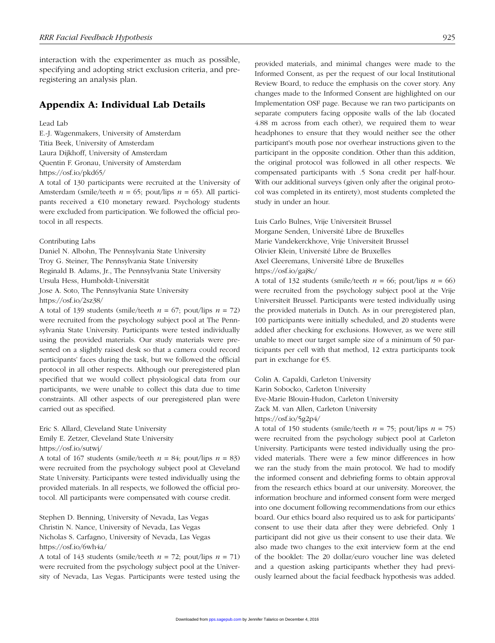interaction with the experimenter as much as possible, specifying and adopting strict exclusion criteria, and preregistering an analysis plan.

## Appendix A: Individual Lab Details

#### Lead Lab

E.-J. Wagenmakers, University of Amsterdam Titia Beek, University of Amsterdam Laura Dijkhoff, University of Amsterdam Quentin F. Gronau, University of Amsterdam https://osf.io/pkd65/

A total of 130 participants were recruited at the University of Amsterdam (smile/teeth *n* = 65; pout/lips *n* = 65). All participants received a €10 monetary reward. Psychology students were excluded from participation. We followed the official protocol in all respects.

Contributing Labs

Daniel N. Albohn, The Pennsylvania State University Troy G. Steiner, The Pennsylvania State University Reginald B. Adams, Jr., The Pennsylvania State University Ursula Hess, Humboldt-Universität Jose A. Soto, The Pennsylvania State University https://osf.io/2sz38/

A total of 139 students (smile/teeth  $n = 67$ ; pout/lips  $n = 72$ ) were recruited from the psychology subject pool at The Pennsylvania State University. Participants were tested individually using the provided materials. Our study materials were presented on a slightly raised desk so that a camera could record participants' faces during the task, but we followed the official protocol in all other respects. Although our preregistered plan specified that we would collect physiological data from our participants, we were unable to collect this data due to time constraints. All other aspects of our preregistered plan were carried out as specified.

Eric S. Allard, Cleveland State University Emily E. Zetzer, Cleveland State University https://osf.io/sutwj/

A total of 167 students (smile/teeth  $n = 84$ ; pout/lips  $n = 83$ ) were recruited from the psychology subject pool at Cleveland State University. Participants were tested individually using the provided materials. In all respects, we followed the official protocol. All participants were compensated with course credit.

Stephen D. Benning, University of Nevada, Las Vegas Christin N. Nance, University of Nevada, Las Vegas Nicholas S. Carfagno, University of Nevada, Las Vegas https://osf.io/6wh4a/

A total of 143 students (smile/teeth  $n = 72$ ; pout/lips  $n = 71$ ) were recruited from the psychology subject pool at the University of Nevada, Las Vegas. Participants were tested using the

provided materials, and minimal changes were made to the Informed Consent, as per the request of our local Institutional Review Board, to reduce the emphasis on the cover story. Any changes made to the Informed Consent are highlighted on our Implementation OSF page. Because we ran two participants on separate computers facing opposite walls of the lab (located 4.88 m across from each other), we required them to wear headphones to ensure that they would neither see the other participant's mouth pose nor overhear instructions given to the participant in the opposite condition. Other than this addition, the original protocol was followed in all other respects. We compensated participants with .5 Sona credit per half-hour. With our additional surveys (given only after the original protocol was completed in its entirety), most students completed the study in under an hour.

Luis Carlo Bulnes, Vrije Universiteit Brussel Morgane Senden, Université Libre de Bruxelles Marie Vandekerckhove, Vrije Universiteit Brussel Olivier Klein, Université Libre de Bruxelles Axel Cleeremans, Université Libre de Bruxelles https://osf.io/gaj8c/

A total of 132 students (smile/teeth  $n = 66$ ; pout/lips  $n = 66$ ) were recruited from the psychology subject pool at the Vrije Universiteit Brussel. Participants were tested individually using the provided materials in Dutch. As in our preregistered plan, 100 participants were initially scheduled, and 20 students were added after checking for exclusions. However, as we were still unable to meet our target sample size of a minimum of 50 participants per cell with that method, 12 extra participants took part in exchange for €5.

Colin A. Capaldi, Carleton University Karin Sobocko, Carleton University Eve-Marie Blouin-Hudon, Carleton University Zack M. van Allen, Carleton University https://osf.io/5g2p4/

A total of 150 students (smile/teeth  $n = 75$ ; pout/lips  $n = 75$ ) were recruited from the psychology subject pool at Carleton University. Participants were tested individually using the provided materials. There were a few minor differences in how we ran the study from the main protocol. We had to modify the informed consent and debriefing forms to obtain approval from the research ethics board at our university. Moreover, the information brochure and informed consent form were merged into one document following recommendations from our ethics board. Our ethics board also required us to ask for participants' consent to use their data after they were debriefed. Only 1 participant did not give us their consent to use their data. We also made two changes to the exit interview form at the end of the booklet: The 20 dollar/euro voucher line was deleted and a question asking participants whether they had previously learned about the facial feedback hypothesis was added.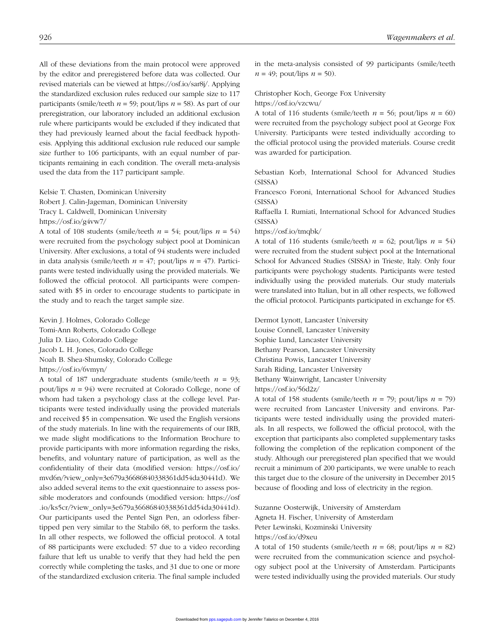All of these deviations from the main protocol were approved by the editor and preregistered before data was collected. Our revised materials can be viewed at https://osf.io/sar8j/. Applying the standardized exclusion rules reduced our sample size to 117 participants (smile/teeth  $n = 59$ ; pout/lips  $n = 58$ ). As part of our preregistration, our laboratory included an additional exclusion rule where participants would be excluded if they indicated that they had previously learned about the facial feedback hypothesis. Applying this additional exclusion rule reduced our sample size further to 106 participants, with an equal number of participants remaining in each condition. The overall meta-analysis used the data from the 117 participant sample.

Kelsie T. Chasten, Dominican University Robert J. Calin-Jageman, Dominican University Tracy L. Caldwell, Dominican University https://osf.io/g4vw7/

A total of 108 students (smile/teeth  $n = 54$ ; pout/lips  $n = 54$ ) were recruited from the psychology subject pool at Dominican University. After exclusions, a total of 94 students were included in data analysis (smile/teeth  $n = 47$ ; pout/lips  $n = 47$ ). Participants were tested individually using the provided materials. We followed the official protocol. All participants were compensated with \$5 in order to encourage students to participate in the study and to reach the target sample size.

Kevin J. Holmes, Colorado College Tomi-Ann Roberts, Colorado College Julia D. Liao, Colorado College Jacob L. H. Jones, Colorado College Noah B. Shea-Shumsky, Colorado College https://osf.io/6vmyn/

A total of 187 undergraduate students (smile/teeth  $n = 93$ ; pout/lips *n* = 94) were recruited at Colorado College, none of whom had taken a psychology class at the college level. Participants were tested individually using the provided materials and received \$5 in compensation. We used the English versions of the study materials. In line with the requirements of our IRB, we made slight modifications to the Information Brochure to provide participants with more information regarding the risks, benefits, and voluntary nature of participation, as well as the confidentiality of their data (modified version: https://osf.io/ [mvd6n/?view\\_only=3e679a36686840338361dd54da30441d\). We](https://osf.io/mvd6n/?view_only=3e679a36686840338361dd54da30441d)  also added several items to the exit questionnaire to assess possible moderators and confounds (modified version: https://osf [.io/ks5cr/?view\\_only=3e679a36686840338361dd54da30441d\).](https://osf.io/ks5cr/?view_only=3e679a36686840338361dd54da30441d)  Our participants used the Pentel Sign Pen, an odorless fibertipped pen very similar to the Stabilo 68, to perform the tasks. In all other respects, we followed the official protocol. A total of 88 participants were excluded: 57 due to a video recording failure that left us unable to verify that they had held the pen correctly while completing the tasks, and 31 due to one or more of the standardized exclusion criteria. The final sample included

in the meta-analysis consisted of 99 participants (smile/teeth  $n = 49$ ; pout/lips  $n = 50$ ).

## Christopher Koch, George Fox University

https://osf.io/vzcwu/

A total of 116 students (smile/teeth  $n = 56$ ; pout/lips  $n = 60$ ) were recruited from the psychology subject pool at George Fox University. Participants were tested individually according to the official protocol using the provided materials. Course credit was awarded for participation.

Sebastian Korb, International School for Advanced Studies (SISSA)

Francesco Foroni, International School for Advanced Studies (SISSA)

Raffaella I. Rumiati, International School for Advanced Studies (SISSA)

#### https://osf.io/tmqbk/

A total of 116 students (smile/teeth  $n = 62$ ; pout/lips  $n = 54$ ) were recruited from the student subject pool at the International School for Advanced Studies (SISSA) in Trieste, Italy. Only four participants were psychology students. Participants were tested individually using the provided materials. Our study materials were translated into Italian, but in all other respects, we followed the official protocol. Participants participated in exchange for €5.

Dermot Lynott, Lancaster University Louise Connell, Lancaster University Sophie Lund, Lancaster University Bethany Pearson, Lancaster University Christina Powis, Lancaster University Sarah Riding, Lancaster University Bethany Wainwright, Lancaster University https://osf.io/56d2z/

A total of 158 students (smile/teeth  $n = 79$ ; pout/lips  $n = 79$ ) were recruited from Lancaster University and environs. Participants were tested individually using the provided materials. In all respects, we followed the official protocol, with the exception that participants also completed supplementary tasks following the completion of the replication component of the study. Although our preregistered plan specified that we would recruit a minimum of 200 participants, we were unable to reach this target due to the closure of the university in December 2015 because of flooding and loss of electricity in the region.

Suzanne Oosterwijk, University of Amsterdam Agneta H. Fischer, University of Amsterdam Peter Lewinski, Kozminski University https://osf.io/d9xeu

A total of 150 students (smile/teeth  $n = 68$ ; pout/lips  $n = 82$ ) were recruited from the communication science and psychology subject pool at the University of Amsterdam. Participants were tested individually using the provided materials. Our study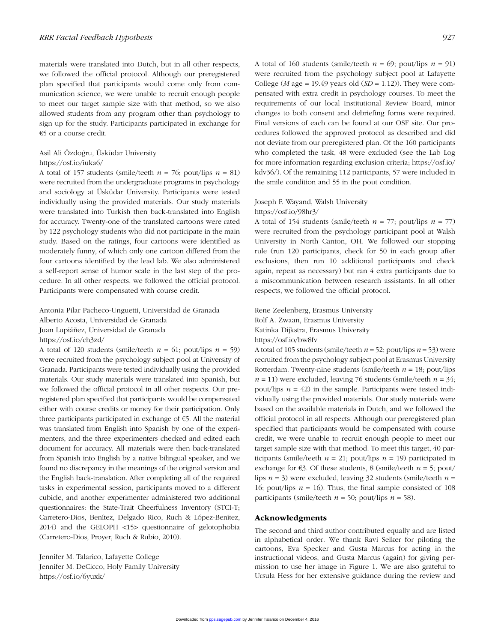materials were translated into Dutch, but in all other respects, we followed the official protocol. Although our preregistered plan specified that participants would come only from communication science, we were unable to recruit enough people to meet our target sample size with that method, so we also allowed students from any program other than psychology to sign up for the study. Participants participated in exchange for €5 or a course credit.

## Asil Ali Özdoğru, Üsküdar University

## https://osf.io/iuka6/

A total of 157 students (smile/teeth  $n = 76$ ; pout/lips  $n = 81$ ) were recruited from the undergraduate programs in psychology and sociology at Üsküdar University. Participants were tested individually using the provided materials. Our study materials were translated into Turkish then back-translated into English for accuracy. Twenty-one of the translated cartoons were rated by 122 psychology students who did not participate in the main study. Based on the ratings, four cartoons were identified as moderately funny, of which only one cartoon differed from the four cartoons identified by the lead lab. We also administered a self-report sense of humor scale in the last step of the procedure. In all other respects, we followed the official protocol. Participants were compensated with course credit.

Antonia Pilar Pacheco-Unguetti, Universidad de Granada Alberto Acosta, Universidad de Granada Juan Lupiáñez, Universidad de Granada https://osf.io/ch3zd/

A total of 120 students (smile/teeth  $n = 61$ ; pout/lips  $n = 59$ ) were recruited from the psychology subject pool at University of Granada. Participants were tested individually using the provided materials. Our study materials were translated into Spanish, but we followed the official protocol in all other respects. Our preregistered plan specified that participants would be compensated either with course credits or money for their participation. Only three participants participated in exchange of €5. All the material was translated from English into Spanish by one of the experimenters, and the three experimenters checked and edited each document for accuracy. All materials were then back-translated from Spanish into English by a native bilingual speaker, and we found no discrepancy in the meanings of the original version and the English back-translation. After completing all of the required tasks in experimental session, participants moved to a different cubicle, and another experimenter administered two additional questionnaires: the State-Trait Cheerfulness Inventory (STCI-T; Carretero-Dios, Benítez, Delgado Rico, Ruch & López-Benítez, 2014) and the GELOPH <15> questionnaire of gelotophobia (Carretero-Dios, Proyer, Ruch & Rubio, 2010).

Jennifer M. Talarico, Lafayette College Jennifer M. DeCicco, Holy Family University https://osf.io/6yuxk/

A total of 160 students (smile/teeth  $n = 69$ ; pout/lips  $n = 91$ ) were recruited from the psychology subject pool at Lafayette College ( $M$  age = 19.49 years old ( $SD = 1.12$ )). They were compensated with extra credit in psychology courses. To meet the requirements of our local Institutional Review Board, minor changes to both consent and debriefing forms were required. Final versions of each can be found at our OSF site. Our procedures followed the approved protocol as described and did not deviate from our preregistered plan. Of the 160 participants who completed the task, 48 were excluded (see the Lab Log [for more information regarding exclusion criteria; https://osf.io/](https://osf.io/kdv36/) kdv36/). Of the remaining 112 participants, 57 were included in the smile condition and 55 in the pout condition.

## Joseph F. Wayand, Walsh University

#### https://osf.io/98hr3/

A total of 154 students (smile/teeth  $n = 77$ ; pout/lips  $n = 77$ ) were recruited from the psychology participant pool at Walsh University in North Canton, OH. We followed our stopping rule (run 120 participants, check for 50 in each group after exclusions, then run 10 additional participants and check again, repeat as necessary) but ran 4 extra participants due to a miscommunication between research assistants. In all other respects, we followed the official protocol.

Rene Zeelenberg, Erasmus University Rolf A. Zwaan, Erasmus University Katinka Dijkstra, Erasmus University https://osf.io/bw8fv

A total of 105 students (smile/teeth *n* = 52; pout/lips *n* = 53) were recruited from the psychology subject pool at Erasmus University Rotterdam. Twenty-nine students (smile/teeth *n* = 18; pout/lips  $n = 11$ ) were excluded, leaving 76 students (smile/teeth  $n = 34$ ; pout/lips  $n = 42$ ) in the sample. Participants were tested individually using the provided materials. Our study materials were based on the available materials in Dutch, and we followed the official protocol in all respects. Although our preregistered plan specified that participants would be compensated with course credit, we were unable to recruit enough people to meet our target sample size with that method. To meet this target, 40 participants (smile/teeth  $n = 21$ ; pout/lips  $n = 19$ ) participated in exchange for  $\epsilon$ 3. Of these students, 8 (smile/teeth  $n = 5$ ; pout/ lips *n* = 3) were excluded, leaving 32 students (smile/teeth *n* = 16; pout/lips  $n = 16$ ). Thus, the final sample consisted of 108 participants (smile/teeth  $n = 50$ ; pout/lips  $n = 58$ ).

#### Acknowledgments

The second and third author contributed equally and are listed in alphabetical order. We thank Ravi Selker for piloting the cartoons, Eva Specker and Gusta Marcus for acting in the instructional videos, and Gusta Marcus (again) for giving permission to use her image in Figure 1. We are also grateful to Ursula Hess for her extensive guidance during the review and